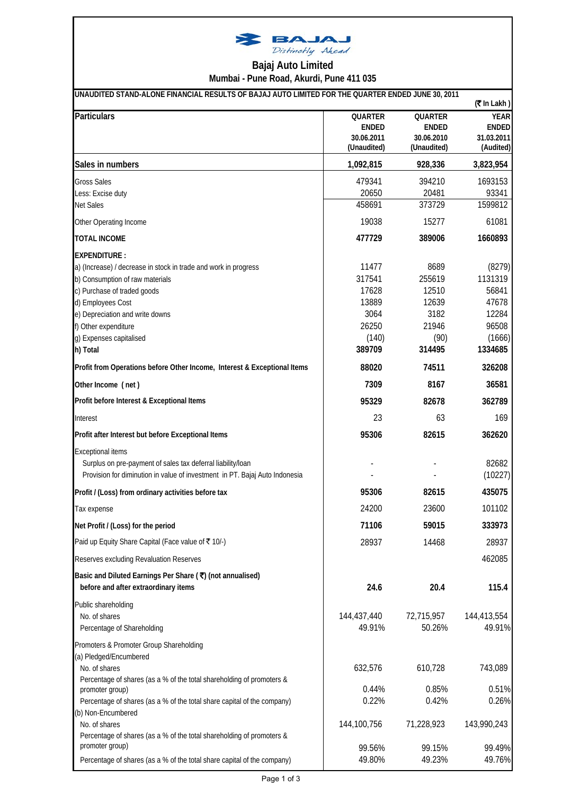

## **Mumbai - Pune Road, Akurdi, Pune 411 035 Bajaj Auto Limited**

| UNAUDITED STAND-ALONE FINANCIAL RESULTS OF BAJAJ AUTO LIMITED FOR THE QUARTER ENDED JUNE 30, 2011<br>$($ ₹In Lakh) |                |              |              |  |
|--------------------------------------------------------------------------------------------------------------------|----------------|--------------|--------------|--|
| Particulars                                                                                                        | <b>QUARTER</b> | QUARTER      | <b>YEAR</b>  |  |
|                                                                                                                    | <b>ENDED</b>   | <b>ENDED</b> | <b>ENDED</b> |  |
|                                                                                                                    | 30.06.2011     | 30.06.2010   | 31.03.2011   |  |
|                                                                                                                    | (Unaudited)    | (Unaudited)  | (Audited)    |  |
| Sales in numbers                                                                                                   | 1,092,815      | 928,336      | 3,823,954    |  |
| <b>Gross Sales</b>                                                                                                 | 479341         | 394210       | 1693153      |  |
| Less: Excise duty                                                                                                  | 20650          | 20481        | 93341        |  |
| <b>Net Sales</b>                                                                                                   | 458691         | 373729       | 1599812      |  |
| Other Operating Income                                                                                             | 19038          | 15277        | 61081        |  |
| <b>TOTAL INCOME</b>                                                                                                | 477729         | 389006       | 1660893      |  |
| <b>EXPENDITURE:</b>                                                                                                |                |              |              |  |
| a) (Increase) / decrease in stock in trade and work in progress                                                    | 11477          | 8689         | (8279)       |  |
| b) Consumption of raw materials                                                                                    | 317541         | 255619       | 1131319      |  |
| c) Purchase of traded goods                                                                                        | 17628          | 12510        | 56841        |  |
| d) Employees Cost                                                                                                  | 13889          | 12639        | 47678        |  |
| e) Depreciation and write downs                                                                                    | 3064           | 3182         | 12284        |  |
| f) Other expenditure                                                                                               | 26250          | 21946        | 96508        |  |
| g) Expenses capitalised                                                                                            | (140)          | (90)         | (1666)       |  |
| h) Total                                                                                                           | 389709         | 314495       | 1334685      |  |
| Profit from Operations before Other Income, Interest & Exceptional Items                                           | 88020          | 74511        | 326208       |  |
| Other Income (net)                                                                                                 | 7309           | 8167         | 36581        |  |
| Profit before Interest & Exceptional Items                                                                         | 95329          | 82678        | 362789       |  |
| Interest                                                                                                           | 23             | 63           | 169          |  |
| Profit after Interest but before Exceptional Items                                                                 | 95306          | 82615        | 362620       |  |
| <b>Exceptional items</b>                                                                                           |                |              |              |  |
| Surplus on pre-payment of sales tax deferral liability/loan                                                        |                |              | 82682        |  |
| Provision for diminution in value of investment in PT. Bajaj Auto Indonesia                                        |                |              | (10227)      |  |
| Profit / (Loss) from ordinary activities before tax                                                                | 95306          | 82615        | 435075       |  |
| Tax expense                                                                                                        | 24200          | 23600        | 101102       |  |
| Net Profit / (Loss) for the period                                                                                 | 71106          | 59015        | 333973       |  |
| Paid up Equity Share Capital (Face value of ₹10/-)                                                                 | 28937          | 14468        | 28937        |  |
| Reserves excluding Revaluation Reserves                                                                            |                |              | 462085       |  |
| Basic and Diluted Earnings Per Share (₹) (not annualised)                                                          |                |              |              |  |
| before and after extraordinary items                                                                               | 24.6           | 20.4         | 115.4        |  |
| Public shareholding                                                                                                |                |              |              |  |
| No. of shares                                                                                                      | 144,437,440    | 72,715,957   | 144,413,554  |  |
| Percentage of Shareholding                                                                                         | 49.91%         | 50.26%       | 49.91%       |  |
| Promoters & Promoter Group Shareholding                                                                            |                |              |              |  |
| (a) Pledged/Encumbered                                                                                             |                |              |              |  |
| No. of shares                                                                                                      | 632,576        | 610,728      | 743,089      |  |
| Percentage of shares (as a % of the total shareholding of promoters &                                              |                |              |              |  |
| promoter group)                                                                                                    | 0.44%          | 0.85%        | 0.51%        |  |
| Percentage of shares (as a % of the total share capital of the company)                                            | 0.22%          | 0.42%        | 0.26%        |  |
| (b) Non-Encumbered                                                                                                 |                |              |              |  |
| No. of shares                                                                                                      | 144,100,756    | 71,228,923   | 143,990,243  |  |
| Percentage of shares (as a % of the total shareholding of promoters &                                              |                |              |              |  |
| promoter group)                                                                                                    | 99.56%         | 99.15%       | 99.49%       |  |
| Percentage of shares (as a % of the total share capital of the company)                                            | 49.80%         | 49.23%       | 49.76%       |  |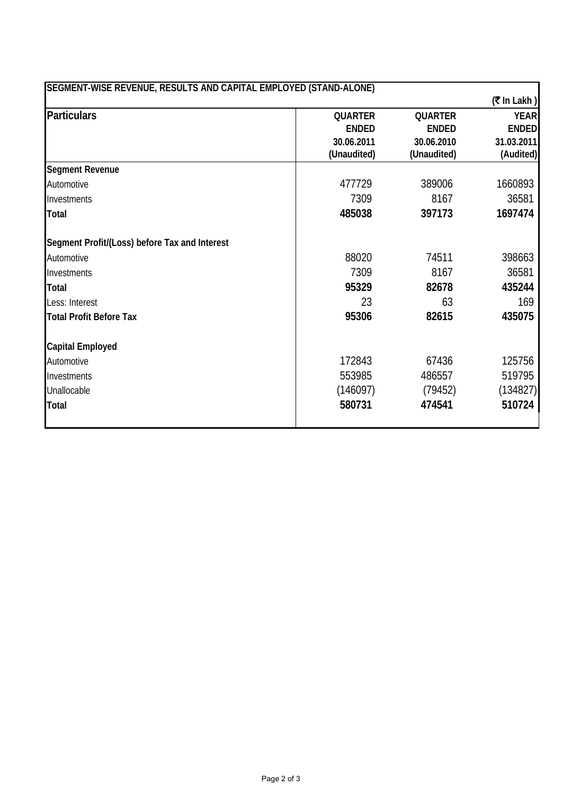| SEGMENT-WISE REVENUE, RESULTS AND CAPITAL EMPLOYED (STAND-ALONE) |                |                |                |
|------------------------------------------------------------------|----------------|----------------|----------------|
|                                                                  |                |                | $($ ₹ In Lakh) |
| <b>Particulars</b>                                               | <b>QUARTER</b> | <b>QUARTER</b> | <b>YEAR</b>    |
|                                                                  | <b>ENDED</b>   | <b>ENDED</b>   | <b>ENDED</b>   |
|                                                                  | 30.06.2011     | 30.06.2010     | 31.03.2011     |
|                                                                  | (Unaudited)    | (Unaudited)    | (Audited)      |
| <b>Segment Revenue</b>                                           |                |                |                |
| Automotive                                                       | 477729         | 389006         | 1660893        |
| Investments                                                      | 7309           | 8167           | 36581          |
| <b>Total</b>                                                     | 485038         | 397173         | 1697474        |
| Segment Profit/(Loss) before Tax and Interest                    |                |                |                |
| Automotive                                                       | 88020          | 74511          | 398663         |
| Investments                                                      | 7309           | 8167           | 36581          |
| <b>Total</b>                                                     | 95329          | 82678          | 435244         |
| Less: Interest                                                   | 23             | 63             | 169            |
| <b>Total Profit Before Tax</b>                                   | 95306          | 82615          | 435075         |
| <b>Capital Employed</b>                                          |                |                |                |
| Automotive                                                       | 172843         | 67436          | 125756         |
| Investments                                                      | 553985         | 486557         | 519795         |
| Unallocable                                                      | (146097)       | (79452)        | (134827)       |
| <b>Total</b>                                                     | 580731         | 474541         | 510724         |
|                                                                  |                |                |                |